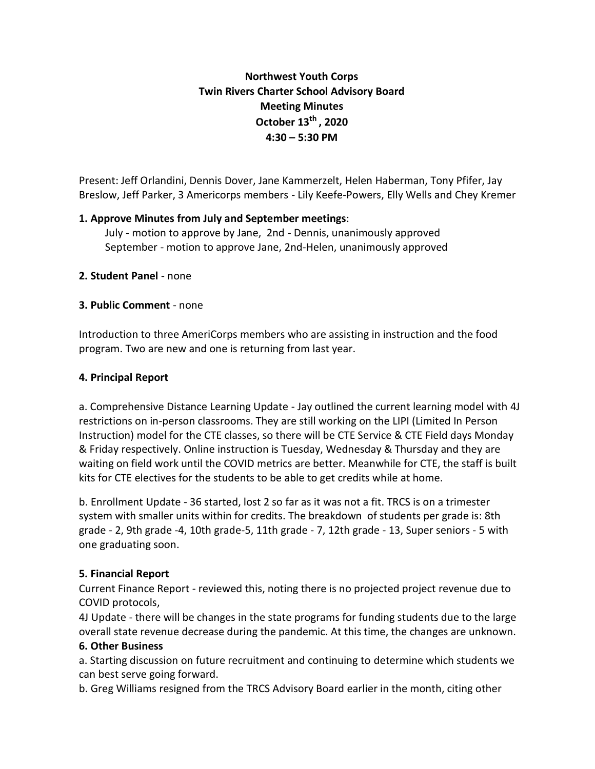# **Northwest Youth Corps Twin Rivers Charter School Advisory Board Meeting Minutes October 13th , 2020 4:30 – 5:30 PM**

Present: Jeff Orlandini, Dennis Dover, Jane Kammerzelt, Helen Haberman, Tony Pfifer, Jay Breslow, Jeff Parker, 3 Americorps members - Lily Keefe-Powers, Elly Wells and Chey Kremer

### **1. Approve Minutes from July and September meetings**:

July - motion to approve by Jane, 2nd - Dennis, unanimously approved September - motion to approve Jane, 2nd-Helen, unanimously approved

### **2. Student Panel** - none

### **3. Public Comment** - none

Introduction to three AmeriCorps members who are assisting in instruction and the food program. Two are new and one is returning from last year.

### **4. Principal Report**

a. Comprehensive Distance Learning Update - Jay outlined the current learning model with 4J restrictions on in-person classrooms. They are still working on the LIPI (Limited In Person Instruction) model for the CTE classes, so there will be CTE Service & CTE Field days Monday & Friday respectively. Online instruction is Tuesday, Wednesday & Thursday and they are waiting on field work until the COVID metrics are better. Meanwhile for CTE, the staff is built kits for CTE electives for the students to be able to get credits while at home.

b. Enrollment Update - 36 started, lost 2 so far as it was not a fit. TRCS is on a trimester system with smaller units within for credits. The breakdown of students per grade is: 8th grade - 2, 9th grade -4, 10th grade-5, 11th grade - 7, 12th grade - 13, Super seniors - 5 with one graduating soon.

## **5. Financial Report**

Current Finance Report - reviewed this, noting there is no projected project revenue due to COVID protocols,

4J Update - there will be changes in the state programs for funding students due to the large overall state revenue decrease during the pandemic. At this time, the changes are unknown.

### **6. Other Business**

a. Starting discussion on future recruitment and continuing to determine which students we can best serve going forward.

b. Greg Williams resigned from the TRCS Advisory Board earlier in the month, citing other